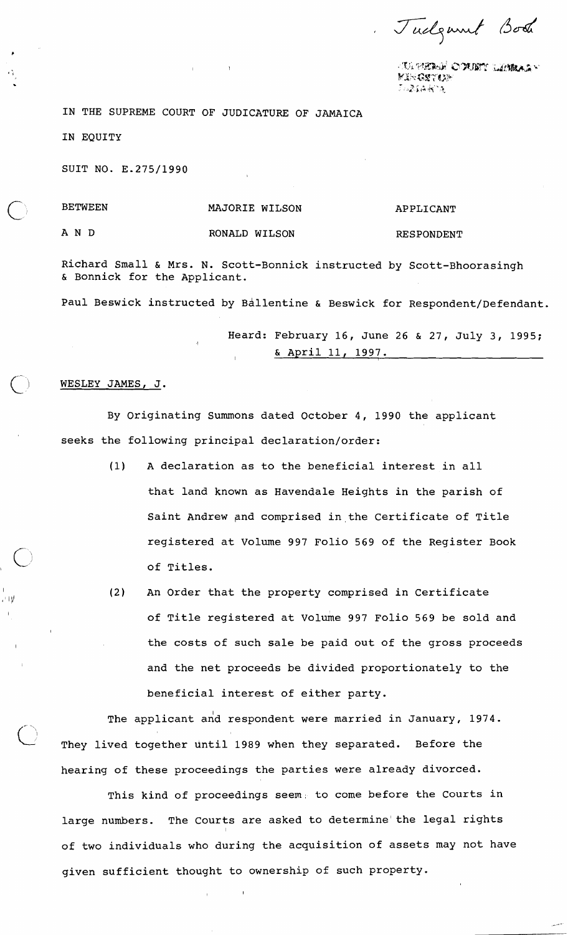Tudgment Book

**IA WEBAR OPUBY LEMBASY** GR**GS**TOP

IN THE SUPREME COURT OF JUDICATURE OF JAMAICA

IN EQUITY

SUIT NO. E.275/1990

## BETWEEN

## MAJORIE WILSON

AND

. + 1 V

RONALD WILSON

APPLICANT

RESPONDENT

Richard Small & Mrs. N. Scott-Bonnick instructed by Scott-Bhoorasingh & Bonnick for the Applicant.

Paul Beswick instructed by Ballentine & Beswick for Respondent/Defendant.

Heard: February 16, June 26 & 27, July 3, 1995; & April 11, 1997.

## WESLEY JAMES, J.

By Originating Summons dated October 4, 1990 the applicant seeks the following principal declaration/order:

- (1) A declaration as to the beneficial interest in all that land known as Havendale Heights in the parish of Saint Andrew and comprised in the Certificate of Title registered at Volume 997 Folio 569 of the Register Book of Titles.
- (2) An Order that the property comprised in Certificate of Title registered at Volume 997 Folio 569 be sold and the costs of such sale be paid out of the gross proceeds and the net proceeds be divided proportionately to the beneficial interest of either party.

The applicant and respondent were married in January, 1974. They lived together until 1989 when they separated. Before the hearing of these proceedings the parties were already divorced.

This kind of proceedings seem; to come before the Courts in large numbers. The Courts are asked to determine'the legal rights of two individuals who during the acquisition of assets may not have given sufficient thought to ownership of such property.

I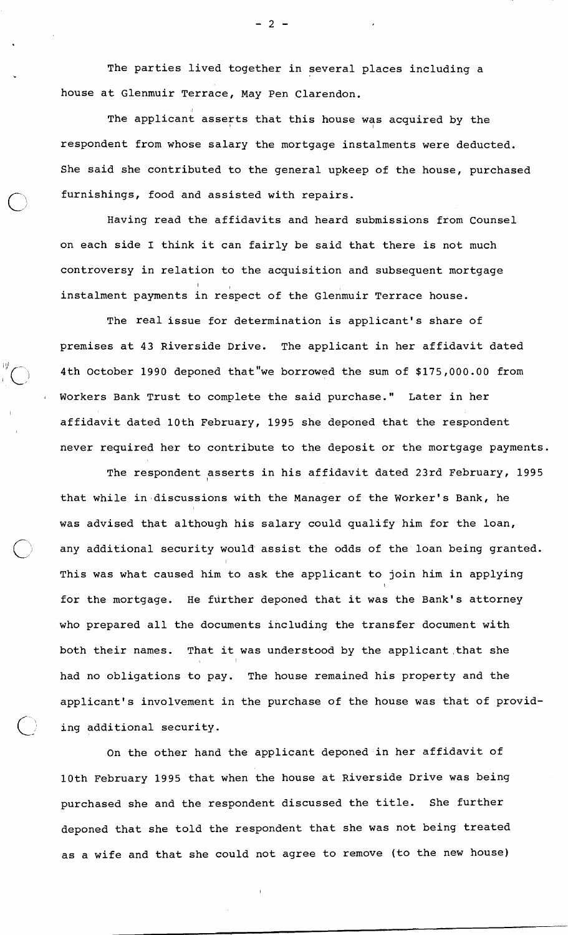The parties lived together in several places including a house at Glenmuir Terrace, May Pen Clarendon.

The applicant asserts that this house was acquired by the respondent from whose salary the mortgage instalments were deducted. She said she contributed to the general upkeep of the house, purchased furnishings, food and assisted with repairs.

Having read the affidavits and heard submissions from Counsel on each side I think it can fairly be said that there is not much controversy in relation to the acquisition and subsequent mortgage instalment payments in respect of the Glenmuir Terrace house.

The real issue for determination is applicant's share of premises at 43 Riverside Drive. The applicant in her affidavit dated 4th October 1990 deponed that"we borrowed the sum of \$175,000.00 from <sup>1</sup>Workers Bank Trust to complete the said purchase." Later in her affidavit dated 10th February, 1995 she deponed that the respondent never required her to contribute to the deposit or the mortgage payments.

The respondent <sub>esserts</sub> in his affidavit dated 23rd February, 1995 that while in discussions with the Manager of the Worker's Bank, he was advised that although his salary could qualify him for the loan, any additional security would assist the odds of the loan being granted. This was what caused him to ask the applicant to join him in applying for the mortgage. He further deponed that it was the Bank's attorney who prepared all the documents including the transfer document with both their names. That it was understood by the applicant that she had no obligations to pay. The house remained his property and the applicant's involvement in the purchase of the house was that of providing additional security.

On the other hand the applicant deponed in her affidavit of 10th February 1995 that when the house at Riverside Drive was being purchased she and the respondent discussed the title. She further deponed that she told the respondent that she was not being treated as a wife and that she could not agree to remove (to the new house)

 $-2-$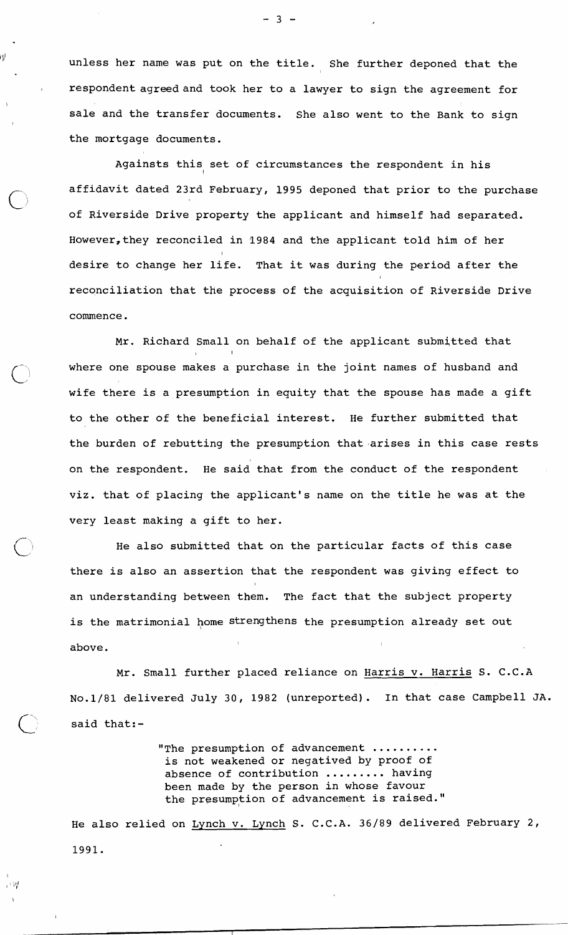$\mathbb{P}^{\parallel}$  in unless her name was put on the title. She further deponed that the respondent agreed and took her to a lawyer to sign the agreement for sale and the transfer documents. She also went to the Bank to sign the mortgage documents.

I

计错

Againsts this set of circumstances the respondent in his affidavit dated 23rd February, 1995 deponed that prior to the purchase of Riverside Drive property the applicant and himself had separated. However,they reconciled in 1984 and the applicant told him of her I desire to change her life. That it was during the period after the reconciliation that tHe process of the acquisition of Riverside Drive commence.

Mr. Richard Small on behalf of the applicant submitted that I I I I I I I I I where one spouse makes a purchase in the joint names of husband and wife there is a presumption in equity that the spouse has made a gift to the other of the beneficial interest. He further submitted that the burden of rebutting the presumption that arises in this case rests on the respondent. He said that from the conduct of the respondent viz. that of placing the applicant's name on the title he was at the very least making a gift to her.

He also submitted that on the particular facts of this case there is also an assertion that the respondent was giving effect to an understanding between them. The fact that the subject property is the matrimonial home strengthens the presumption already set out above.

Mr. Small further placed reliance on Harris v. Harris S. C.C.A No.1/81 delivered July 30, 1982 (unreported). In that case Campbell JA. said that:-

> "The presumption of advancement .......... is not weakened or negatived by proof of absence of contribution ......... having been made by the person in whose favour the presumption of advancement is raised."

He also relied on Lynch v. Lynch S. C.C.A. 36/89 delivered February 2, 1991.

 $-3 -$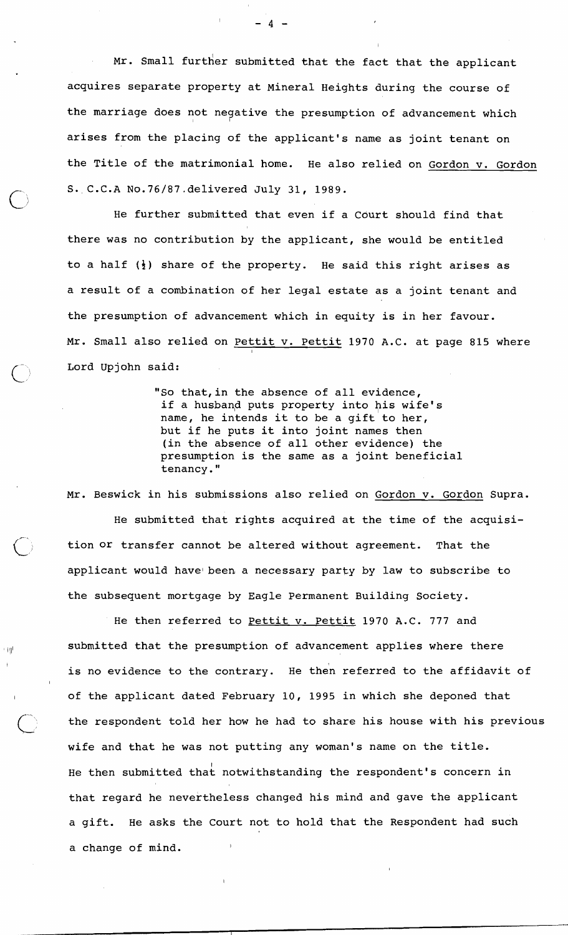Mr. Small further submitted that the fact that the applicant acquires separate property at Mineral Heights during the course of the marriage does not negative the presumption of advancement which arises from the placing of the applicant's name as joint tenant on the Title of the matrimonial home. He also relied on Gordon v. Gordon S. C.C.A No.76/87.delivered July 31, 1989.

He further submitted that even if a Court should find that there was no contribution by the applicant, she would be entitled to a half **(4)** share of the property. He said this right arises as a result of a combination of her legal estate as a joint tenant and the presumption of advancement which in equity is in her favour. Mr. Small also relied on Pettit v. Pettit 1970 A.C. at page 815 where Lord Upjohn said:

> "So that, in the absence of all evidence, if a husband puts property into his wife's name, he intends it to be a gift to her, but if he puts it into joint names then (in the absence of all other evidence) the presumption is the same as a joint beneficial tenancy."

Mr. Beswick in his submissions also relied on Gordon v. Gordon Supra. He submitted that rights acquired at the time of the acquisition or transfer cannot be altered without agreement. That the applicant would have been a necessary party by law to subscribe to the subsequent mortgage by Eagle Permanent Building Society.

He then referred to Pettit v. Pettit 1970 A.C. 777 and  $I_{\text{I} \parallel}$  submitted that the presumption of advancement applies where there is no evidence to the contrary. He then referred to the affidavit of of the applicant dated February 10, 1995 in which she deponed that the respondent told her how he had to share his house with his previous wife and that he was not putting any woman's name on the title. He then submitted that notwithstanding the respondent's concern in that regard he nevertheless changed his mind and gave the applicant a gift. He asks the Court not to hold that the Respondent had such a change of mind.

 $\Lambda$   $\sim$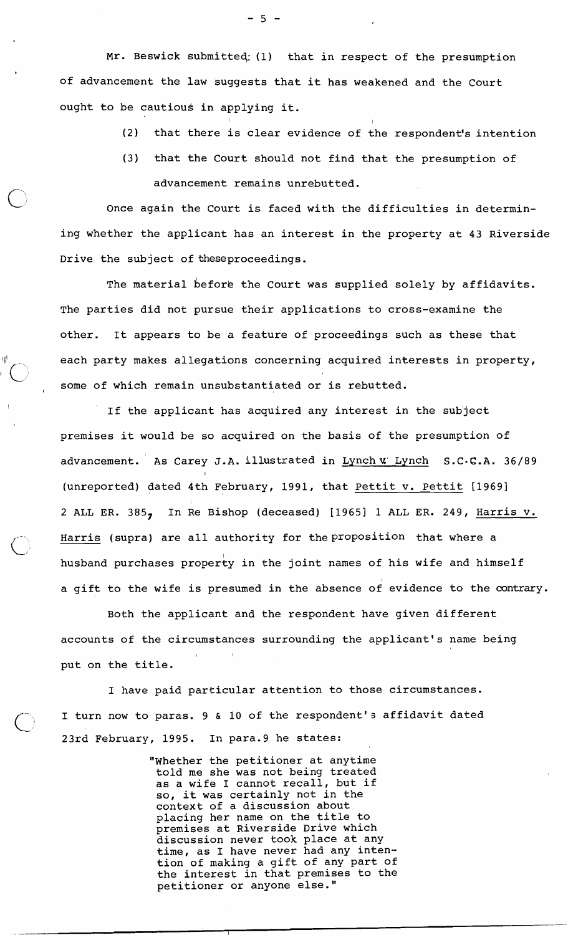Mr. Beswick submitteq: (1) that in respect of the presumption of advancement the law 'suggests that it has weakened and the Court ought to be cautious in applying it.

(2) that there is clear evidence of the respondent's intention

(3) that the Court should not find that the presumption of advancement remains unrebutted.

Once again the Court is faced with the difficulties in determining whether the applicant has an interest in the property at 43 Riverside Drive the subject of theseproceedings.

The material before the Court was supplied solely by affidavits. The parties did not pursue their applications to cross-examine the other. It appears to be a feature of proceedings such as these that  $1 \,$  each party makes allegations concerning acquired interests in property, some of which remain unsubstantiated or is rebutted.

> If the applicant has acquired any interest in the subject premises it would be so acquired on the basis of the presumption of advancement. As Carey J.A. illustrated in Lynch **u.** Lynch **S.** C. C.A. 36/89 (unreported) dated 4th February, 1991, that Pettit v. Pettit [1969] 2 ALL ER. 385, In Re Bishop (deceased) [I9651 1 ALL ER. 249, Harris v. Harris (supra) are all authority for the proposition that where a husband purchases property in the joint names of his wife and himself a gift to the wife is presumed in the absence of evidence to the contrary.

Both the applicant and the respondent have given different accounts of the circumstances surrounding the applicant's name being , Inc., Inc., Inc., Inc., put on the title.

I have paid particular attention to those circumstances. I turn now to paras. 9 & 10 of the respondent's affidavit dated 23rd February, 1995. In para.9 he states:

> "Whether the petitioner at anytime told me she was not being treated as a wife I cannot recall, but if so, it was certainly not in the context of a discussion about placing her name on the title to premises at Riverside Drive which discussion never took place at any time, as I have never had any intention of making a gift of any part of the interest in that premises to the petitioner or anyone else."

 $-5 -$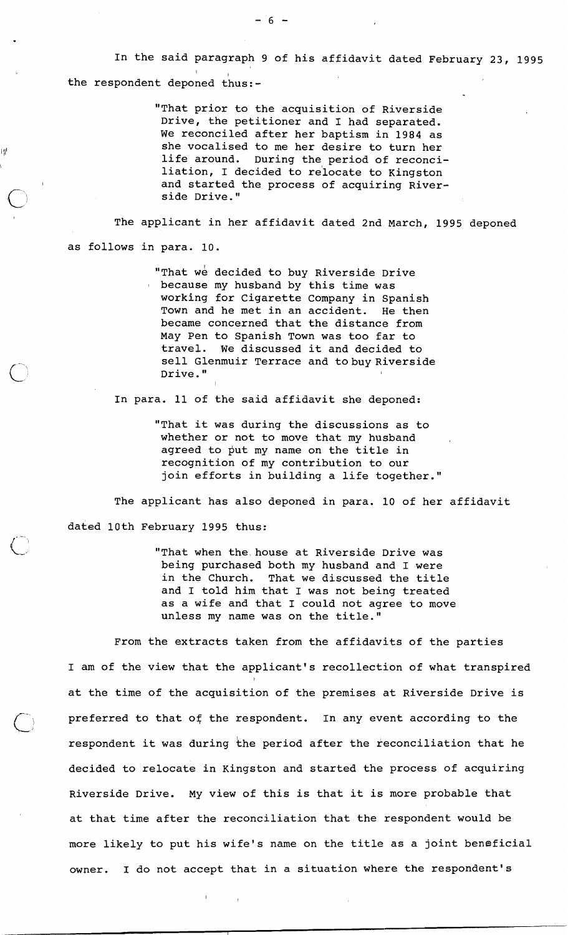In the said paragraph 9 of his affidavit dated February **23,** 1995 the respondent deponed thus:-

> "That prior to the acquisition of Riverside Drive, the petitioner and I had separated. We reconciled after her baptism in 1984 as she vocalised to me her desire to turn her life around. During the period of reconciliation, I decided to relocate to Kingston and started the process of acquiring Riverside Drive."

The applicant in her affidavit dated 2nd March, 1995 deponed as follows in para. 10.

> "That we decided to buy Riverside Drive because my husband by this time was working for Cigarette Company in Spanish Town and he met in an accident. He then became concerned that the distance from May Pen to Spanish Town was too far to travel. We discussed it and decided to sell Glenmuir Terrace and tobuy Riverside Drive."

In para. 11 of the said affidavit she deponed:

"That it was during the discussions as to whether or not to move that my husband agreed to put my name on the title in recognition of my contribution to our join efforts in building a life together."

The applicant has also deponed in para. 10 of her affidavit dated 10th February 1995 thus:

> "That when the house at Riverside Drive was being purchased both my husband and I were in the Church. That we discussed the title and I told him that I was not being treated as a wife and that I could not agree to move unless my name was on the title."

From the extracts taken from the affidavits of the parties I am of the view that the applicant's recollection of what transpired at the time of the acquisition of the premises at Riverside Drive is preferred to that of the respondent. In any event according to the respondent it was during the period after the reconciliation that he decided to relocate in Kingston and started the process of acquiring Riverside Drive. My view of this is that it is more probable that at that time after the reconciliation that the respondent would be more likely to put his wife's name on the title as a joint beneficial owner. I do not accept that in a situation where the respondent's

 $-6 -$ 

ij₫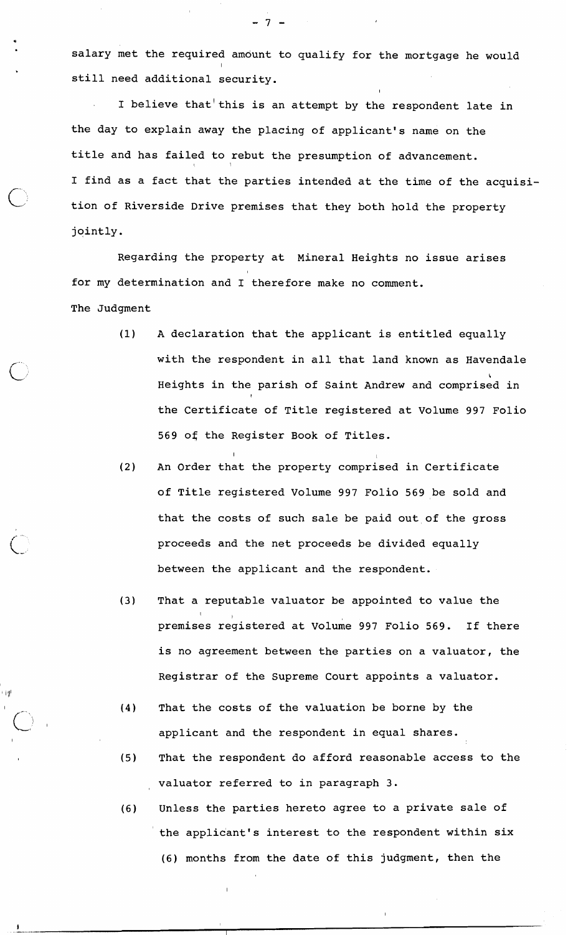salary met the required amdunt to qualify for the mortgage he would still need additional security.

I believe that'this is an attempt by the respondent late in the day to explain away the placing of applicant's name on the title and has failed to rebut the presumption of advancement. I find as a fact that the parties intended at the time of the acquisition of Riverside Drive premises that they both hold the property jointly.

Regarding the property at Mineral Heights no issue arises for my determination and I therefore make no comment. The Judgment

- (1) A declaration that the applicant is entitled equally with the respondent in all that land known as Havendale **6**  Heights in the parish of Saint Andrew and comprised in the Certificate of Title registered at Volume 997 Folio 569 of the Register Book of Titles.
- (2) An Order that the property comprised in Certificate of Title registered Volume 997 Folio 569 be sold and that the costs of such sale be paid out of the gross proceeds and the net proceeds be divided equally between the applicant and the respondent.

I have a state of the state of the state of the state of the state of the state of the state of the state of t

- (3) That a reputable valuator be appointed to value the premises registered at Volume 997 Folio 569. If there is no agreement between the parties on a valuator, the Registrar of the Supreme Court appoints a valuator.
- (4) That the costs of the valuation be borne by the applicant and the respondent in equal shares.
- (5) That the respondent do afford reasonable access to the valuator referred to in paragraph 3.
- (6) Unless the parties hereto agree to a private sale of the applicant's interest to the respondent within six (6) months from the date of this judgment, then the